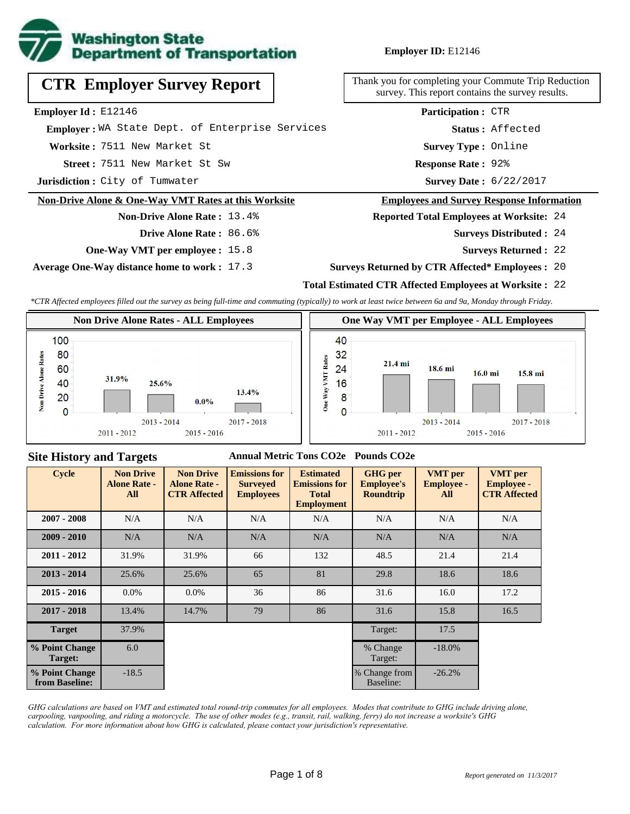

**Employer ID:** E12146

|  | <b>CTR Employer Survey Report</b> |  |  |
|--|-----------------------------------|--|--|
|--|-----------------------------------|--|--|

**Employer Id :** E12146

 **Employer :** WA State Dept. of Enterprise Services

**Worksite :** 7511 New Market St

7511 New Market St Sw **Response Rate : Street :**

**Jurisdiction :** City of Tumwater

#### **Non-Drive Alone & One-Way VMT Rates at this Worksite**

# **Non-Drive Alone Rate :** 13.4%

- **Drive Alone Rate :** 86.6%
- **One-Way VMT per employee :** 15.8

**Average One-Way distance home to work :** 17.3

Thank you for completing your Commute Trip Reduction survey. This report contains the survey results.

> Response Rate: 92% **Survey Type :** Online **Status :** Affected **Participation :** CTR

Survey Date: 6/22/2017

#### **Employees and Survey Response Information**

**Reported Total Employees at Worksite:** 24

- 24 **Surveys Distributed :**
	- **Surveys Returned :** 22

#### **Surveys Returned by CTR Affected\* Employees :** 20

#### **Total Estimated CTR Affected Employees at Worksite :** 22

*\*CTR Affected employees filled out the survey as being full-time and commuting (typically) to work at least twice between 6a and 9a, Monday through Friday.*



#### **Site History and Targets**

#### **Annual Metric Tons CO2e Pounds CO2e**

| <b>Cycle</b>                     | <b>Non Drive</b><br><b>Alone Rate -</b><br>All | <b>Non Drive</b><br><b>Alone Rate -</b><br><b>CTR Affected</b> | <b>Emissions for</b><br><b>Surveyed</b><br><b>Employees</b> | <b>Estimated</b><br><b>Emissions for</b><br><b>Total</b><br><b>Employment</b> | <b>GHG</b> per<br><b>Employee's</b><br><b>Roundtrip</b> | <b>VMT</b> per<br><b>Employee -</b><br>All | <b>VMT</b> per<br><b>Employee -</b><br><b>CTR Affected</b> |
|----------------------------------|------------------------------------------------|----------------------------------------------------------------|-------------------------------------------------------------|-------------------------------------------------------------------------------|---------------------------------------------------------|--------------------------------------------|------------------------------------------------------------|
| $2007 - 2008$                    | N/A                                            | N/A                                                            | N/A                                                         | N/A                                                                           | N/A                                                     | N/A                                        | N/A                                                        |
| $2009 - 2010$                    | N/A                                            | N/A                                                            | N/A                                                         | N/A                                                                           | N/A                                                     | N/A                                        | N/A                                                        |
| $2011 - 2012$                    | 31.9%                                          | 31.9%                                                          | 66                                                          | 132                                                                           | 48.5                                                    | 21.4                                       | 21.4                                                       |
| $2013 - 2014$                    | 25.6%                                          | 25.6%                                                          | 65                                                          | 81                                                                            | 29.8                                                    | 18.6                                       | 18.6                                                       |
| $2015 - 2016$                    | $0.0\%$                                        | 0.0%                                                           | 36                                                          | 86                                                                            | 31.6                                                    | 16.0                                       | 17.2                                                       |
| $2017 - 2018$                    | 13.4%                                          | 14.7%                                                          | 79                                                          | 86                                                                            | 31.6                                                    | 15.8                                       | 16.5                                                       |
| <b>Target</b>                    | 37.9%                                          |                                                                |                                                             |                                                                               | Target:                                                 | 17.5                                       |                                                            |
| % Point Change<br>Target:        | 6.0                                            |                                                                |                                                             |                                                                               | % Change<br>Target:                                     | $-18.0%$                                   |                                                            |
| % Point Change<br>from Baseline: | $-18.5$                                        |                                                                |                                                             |                                                                               | % Change from<br>Baseline:                              | $-26.2%$                                   |                                                            |

*GHG calculations are based on VMT and estimated total round-trip commutes for all employees. Modes that contribute to GHG include driving alone, carpooling, vanpooling, and riding a motorcycle. The use of other modes (e.g., transit, rail, walking, ferry) do not increase a worksite's GHG calculation. For more information about how GHG is calculated, please contact your jurisdiction's representative.*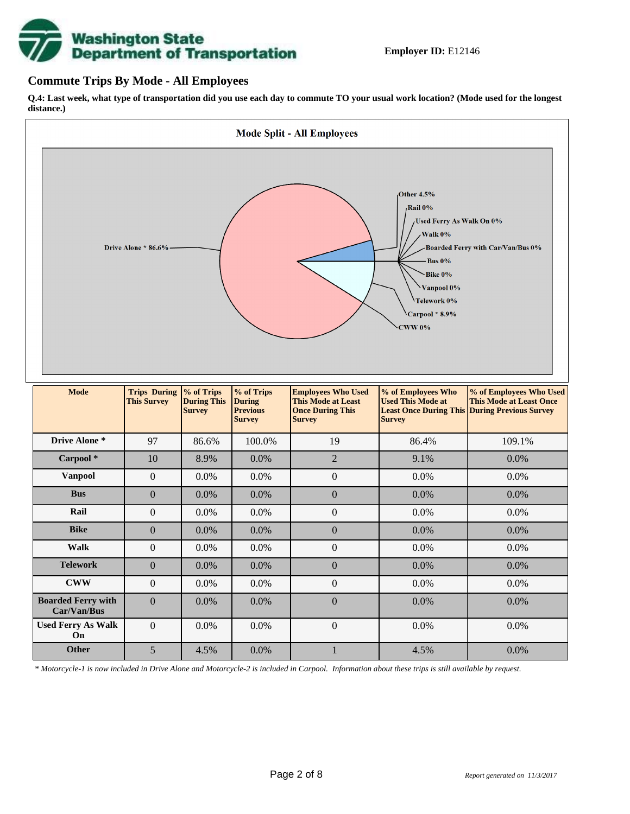# **Washington State<br>Department of Transportation**

#### **Commute Trips By Mode - All Employees**

**Q.4: Last week, what type of transportation did you use each day to commute TO your usual work location? (Mode used for the longest distance.)**



*\* Motorcycle-1 is now included in Drive Alone and Motorcycle-2 is included in Carpool. Information about these trips is still available by request.*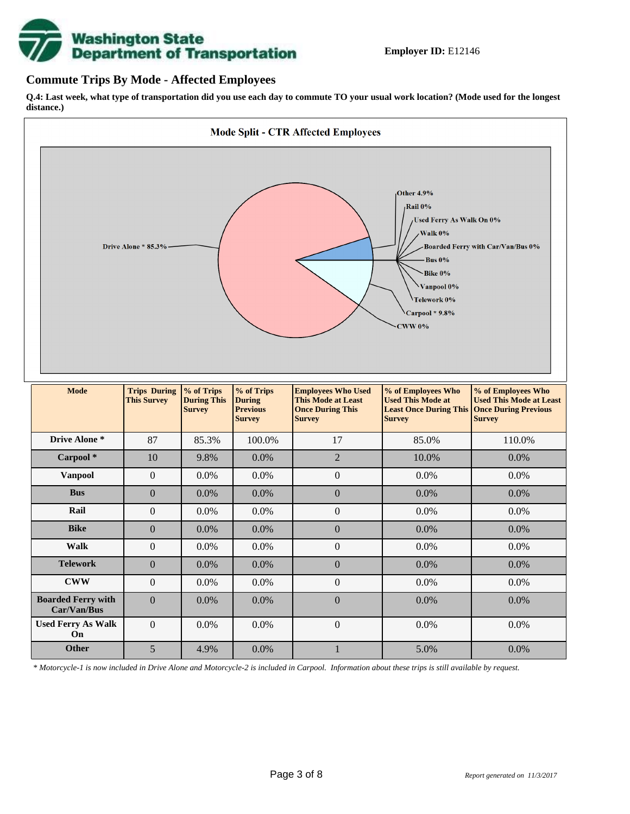

#### **Commute Trips By Mode - Affected Employees**

**Q.4: Last week, what type of transportation did you use each day to commute TO your usual work location? (Mode used for the longest distance.)**



*\* Motorcycle-1 is now included in Drive Alone and Motorcycle-2 is included in Carpool. Information about these trips is still available by request.*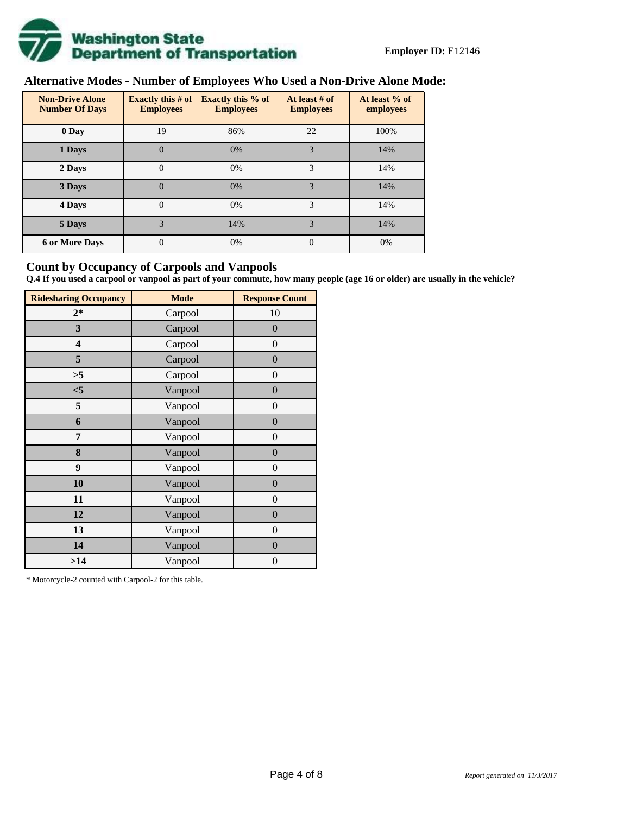

# **Alternative Modes - Number of Employees Who Used a Non-Drive Alone Mode:**

| <b>Non-Drive Alone</b><br><b>Number Of Days</b> | Exactly this $#$ of<br><b>Employees</b> | <b>Exactly this % of</b><br><b>Employees</b> | At least # of<br><b>Employees</b> | At least % of<br>employees |
|-------------------------------------------------|-----------------------------------------|----------------------------------------------|-----------------------------------|----------------------------|
| 0 Day                                           | 19                                      | 86%                                          | 22                                | 100%                       |
| 1 Days                                          | $\overline{0}$                          | 0%                                           | 3                                 | 14%                        |
| 2 Days                                          | $\overline{0}$                          | 0%                                           | 3                                 | 14%                        |
| 3 Days                                          | $\overline{0}$                          | 0%                                           | 3                                 | 14%                        |
| 4 Days                                          | $\Omega$                                | 0%                                           | 3                                 | 14%                        |
| 5 Days                                          | 3                                       | 14%                                          | 3                                 | 14%                        |
| <b>6 or More Days</b>                           | 0                                       | 0%                                           | $\Omega$                          | 0%                         |

#### **Count by Occupancy of Carpools and Vanpools**

**Q.4 If you used a carpool or vanpool as part of your commute, how many people (age 16 or older) are usually in the vehicle?**

| <b>Ridesharing Occupancy</b> | <b>Mode</b> | <b>Response Count</b> |
|------------------------------|-------------|-----------------------|
| $2*$                         | Carpool     | 10                    |
| 3                            | Carpool     | $\boldsymbol{0}$      |
| 4                            | Carpool     | $\boldsymbol{0}$      |
| 5                            | Carpool     | $\boldsymbol{0}$      |
| >5                           | Carpool     | $\overline{0}$        |
| $<$ 5                        | Vanpool     | $\overline{0}$        |
| 5                            | Vanpool     | $\boldsymbol{0}$      |
| 6                            | Vanpool     | $\boldsymbol{0}$      |
| 7                            | Vanpool     | $\boldsymbol{0}$      |
| 8                            | Vanpool     | $\boldsymbol{0}$      |
| 9                            | Vanpool     | $\boldsymbol{0}$      |
| 10                           | Vanpool     | $\overline{0}$        |
| 11                           | Vanpool     | $\overline{0}$        |
| 12                           | Vanpool     | $\boldsymbol{0}$      |
| 13                           | Vanpool     | $\boldsymbol{0}$      |
| 14                           | Vanpool     | $\overline{0}$        |
| >14                          | Vanpool     | $\boldsymbol{0}$      |

\* Motorcycle-2 counted with Carpool-2 for this table.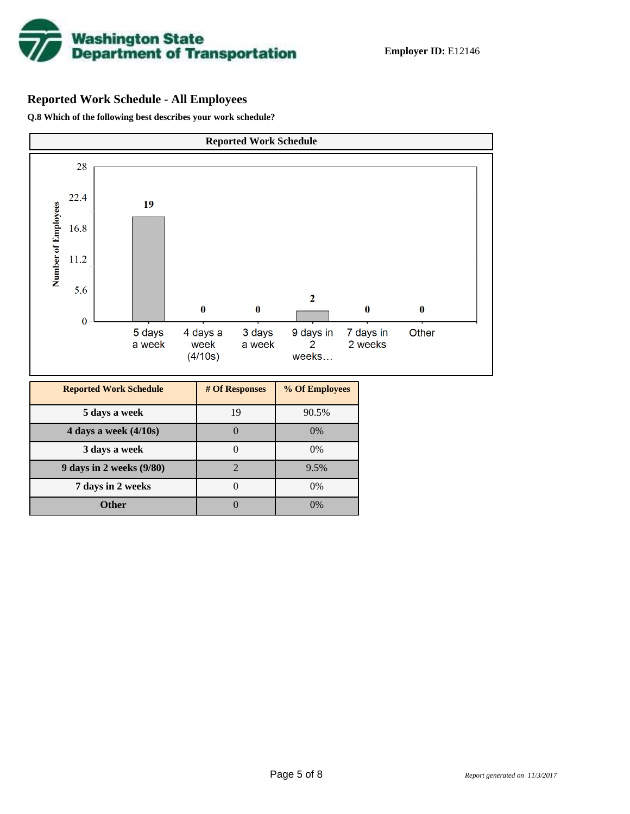

# **Reported Work Schedule - All Employees**

**Q.8 Which of the following best describes your work schedule?**

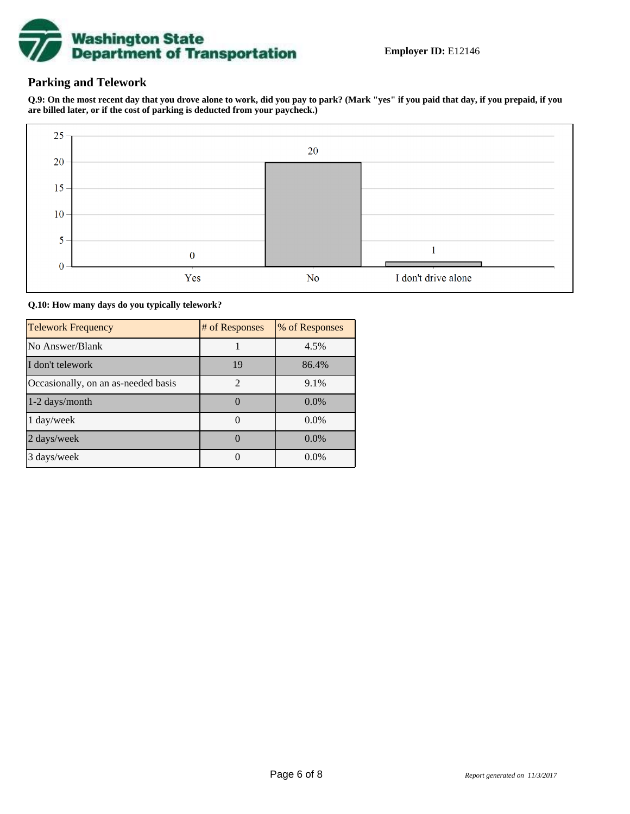

### **Parking and Telework**

**Q.9: On the most recent day that you drove alone to work, did you pay to park? (Mark "yes" if you paid that day, if you prepaid, if you are billed later, or if the cost of parking is deducted from your paycheck.)**



**Q.10: How many days do you typically telework?**

| <b>Telework Frequency</b>           | # of Responses | % of Responses |
|-------------------------------------|----------------|----------------|
| No Answer/Blank                     |                | 4.5%           |
| I don't telework                    | 19             | 86.4%          |
| Occasionally, on an as-needed basis | $\mathfrak{D}$ | 9.1%           |
| 1-2 days/month                      |                | $0.0\%$        |
| 1 day/week                          |                | $0.0\%$        |
| 2 days/week                         |                | 0.0%           |
| 3 days/week                         |                | $0.0\%$        |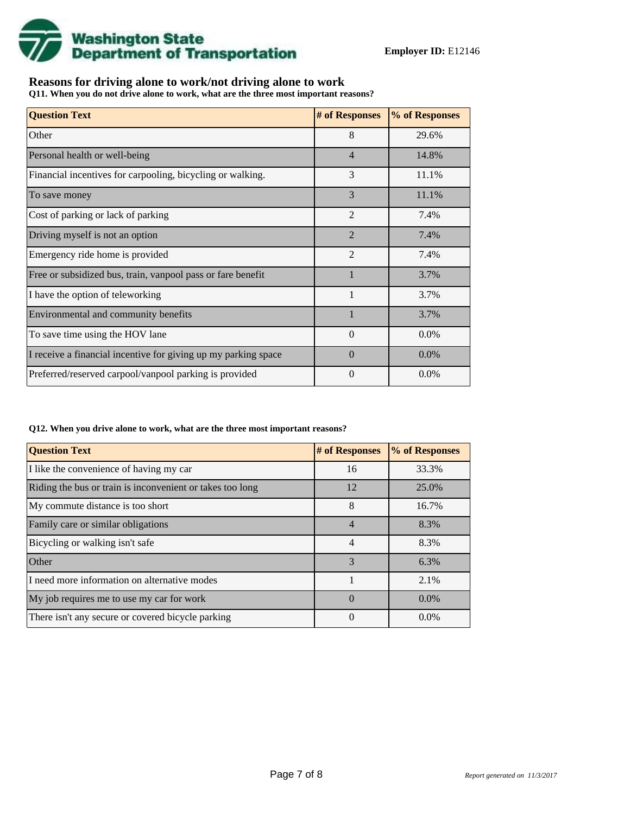

## **Reasons for driving alone to work/not driving alone to work**

**Q11. When you do not drive alone to work, what are the three most important reasons?**

| <b>Question Text</b>                                           | # of Responses | % of Responses |
|----------------------------------------------------------------|----------------|----------------|
| Other                                                          | 8              | 29.6%          |
| Personal health or well-being                                  | $\overline{4}$ | 14.8%          |
| Financial incentives for carpooling, bicycling or walking.     | 3              | 11.1%          |
| To save money                                                  | 3              | 11.1%          |
| Cost of parking or lack of parking                             | $\overline{2}$ | 7.4%           |
| Driving myself is not an option                                | $\mathcal{D}$  | 7.4%           |
| Emergency ride home is provided                                | $\overline{2}$ | 7.4%           |
| Free or subsidized bus, train, vanpool pass or fare benefit    |                | 3.7%           |
| I have the option of teleworking                               | $\mathbf{1}$   | 3.7%           |
| Environmental and community benefits                           |                | 3.7%           |
| To save time using the HOV lane                                | $\Omega$       | 0.0%           |
| I receive a financial incentive for giving up my parking space | $\Omega$       | 0.0%           |
| Preferred/reserved carpool/vanpool parking is provided         | $\Omega$       | $0.0\%$        |

#### **Q12. When you drive alone to work, what are the three most important reasons?**

| <b>Question Text</b>                                      | # of Responses | % of Responses |
|-----------------------------------------------------------|----------------|----------------|
| I like the convenience of having my car                   | 16             | 33.3%          |
| Riding the bus or train is inconvenient or takes too long | 12             | 25.0%          |
| My commute distance is too short                          | 8              | 16.7%          |
| Family care or similar obligations                        | 4              | 8.3%           |
| Bicycling or walking isn't safe                           | 4              | 8.3%           |
| Other                                                     | 3              | 6.3%           |
| I need more information on alternative modes              |                | 2.1%           |
| My job requires me to use my car for work                 | $\Omega$       | $0.0\%$        |
| There isn't any secure or covered bicycle parking         | 0              | $0.0\%$        |